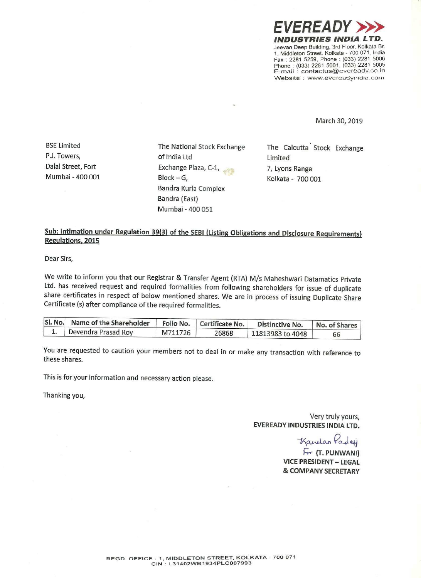

March 30, 2019

Mumbai — 400 001 Block —

P.J. Towers, **Example 2** of India Ltd **Limited** Limited Dalal Street, Fort Exchange Plaza, C-1, 7, Lyons Range<br>
Mumbai - 400 001 Block – G. 6 Kolkata - 700 0 G, Kolkata — 700 001 Bandra Kurla Complex Bandra (East) Mumbai - 400 051

BSE Limited The National Stock Exchange The Calcutta Stock Exchange<br>P.J. Towers, exchange of India Itd Itd Inited

## Sub: Intimation under Regulation 39(3) of the SEBI (Listing Obligations and Disclosure Requirements) Regulations, 2015

Dear Sirs,

We write to inform you that our Registrar & Transfer Agent (RTA) M/s Maheshwari Datamatics Private Ltd. has received request and required formalities from following shareholders for issue of duplicate share certificates in respect of below mentioned shares. We are in process of issuing Duplicate Share Certificate (5) after compliance of the required formalities.

| SI. No. Name of the Shareholder |         | Folio No.   Certificate No. | Distinctive No.  | No. of Shares |
|---------------------------------|---------|-----------------------------|------------------|---------------|
| Devendra Prasad Roy             | M711726 | 26868                       | 11813983 to 4048 |               |

You are requested to caution your members not to deal in or make any transaction with reference to these shares.

This is for your information and necessary action please.

Thanking you,

Very truly yours, EVEREADY INDUSTRIES INDIA LTD.

Kanelan Pades

For (T. PUNWANI) VICE PRESIDENT — LEGAL & COMPANY SECRETARY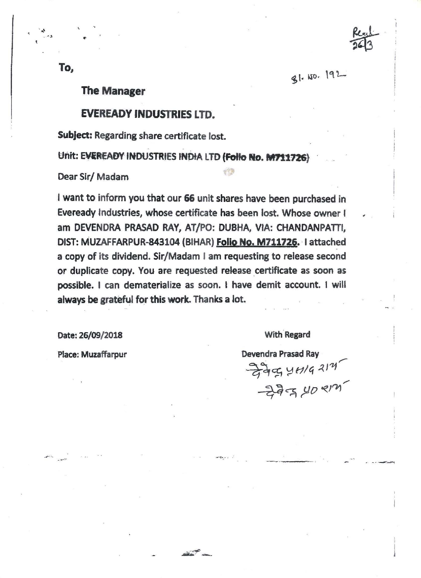81.10.192

, 7'

l

## The Manager

## EVEREADY INDUSTRIES LTD.

Subject: Regarding share certificate lost.

Unit: EVEREADY INDUSTRIES INDIA LTD (Folio No. M711726)

Dear Sir/ Madam

<sup>i</sup> want to inform you that our 66 unit shares have been purchased in Eveready industries, whose certificate has been lost. Whose owner <sup>I</sup> am DEVENDRA PRASAD RAY, AT/PO: DUBHA, VIA: CHANDANPATTI, DIST: MUZAFFARPUR-843104 (BIHAR) <mark>Folio No. M711726</mark>. I attached <sup>a</sup> copy of its dividend. Sir/Madam <sup>I</sup> am requesting to release second or duplicate copy. You are requested release certificate as soon as possible. <sup>I</sup> can dematerialize as soon. i have demit account. <sup>I</sup> will always be grateful for this work. Thanks <sup>a</sup> lot.

'

Date: 26/09/2018 With Regard

Place: Muzaffarpur **Devendra Prasad Ray** /  $-2494442''$  $-272$  (10  $814$ /

To,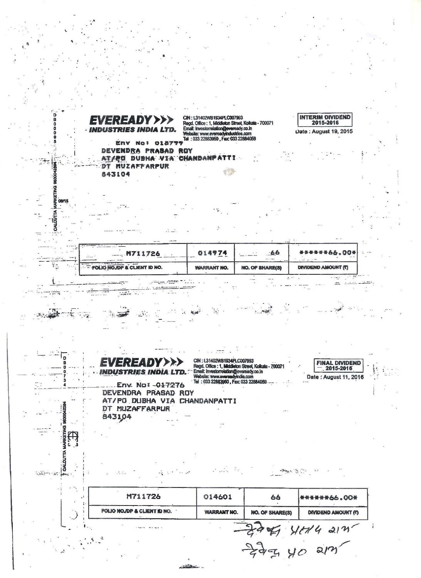oooo **INTERIM DIVIDEND** CIN: L31402WB1934PLC007993 EVEREADY>>> **CIR : L314U.cvB1934PLC007856**<br>Regd. Office : 1, Middleton Street, Kolkala - 700071<br>Email: investorrelation@ewere.ady.co.in<br>Website: www.evereadyimdustries.com<br>Tel : 033 22883950 , Fax: 033 22884059 2015-2016 Date: August 19, 2015  $\overline{0}$  $\frac{5}{10}$ Env No! 018777 G DEVENDRA PRASAD ROY AT/PO DUBHA VIA CHANDANPATTI Ť DT MUZAFFARPUR 983004 843104 MARKETING 8 LOUTTA  $-66$ 66.004 014974 **M711726** Ϋ́Ξ FOLIO NO OP & CLIENT ID NO. **WARRANT NO. NO. OF SHARE(S) DIVIDEND AMOUNT (T)**  $\sim$   $\sim$   $\sim$   $\sim$   $\sim$  $-1/2$  $7.78$  $-1$  $\mathbb{R}^{\mathbb{Z}_2}$  . **Night** 一般  $\mathcal{L}$  $: \mathbb{L}$  $\mathcal{F}=\left\{ \mathcal{F}_{\mathcal{F}}\right\}$  ,  $\mathcal{F}=\left\{ \mathcal{F}_{\mathcal{F}}\right\}$  ,  $\mathcal{F}$  $\overline{p}$ CIN : L31402WB1934Pi.C007993<br>Regd. Office : 1, Middieton Street, Kolkata - 700071<br>"Ernell: investorrelation@eversady.co.in<br>Website: www.eversedyindia.com<br>Tel : 033 22883950, Fac: 033 22884059 **EREADY>>> FINAL DIVIDEND**<br>- 2015-2016  $\left|\sum_{i=1}^n\frac{1}{i}\right|_{i=1}^n$ **INDUSTRIES INDIA: LTD.** e.<br>Se Date: August 11, 2016 Env. No: -017276 DEVENDRA PRASAD ROY AT/PO DUBHA VIA CHANDANPATTI 9830042594 DT MUZAFFARPUR 843104 **RKETING** 田 CALCUTTA  $\mathcal{L} = \mathcal{L} \mathcal{L} = \mathcal{L} \mathcal{L}$  $\label{eq:reduced} \mathcal{P}(\mathcal{P}) \subseteq \mathcal{P}(\mathcal{P}) \subseteq \mathcal{P}$ adelektrike av den som ÷.  $\frac{1}{1}$ Ĵ. M711726 014601 66 \*\*\*\*\*\*66.00\* Ţ FOLIO NOJDP & CLIENT ID NO. **WARRANT NO.** NO. OF SHARE(S) **DIVIDEND AMOUNT (?)** A HERA SIN.